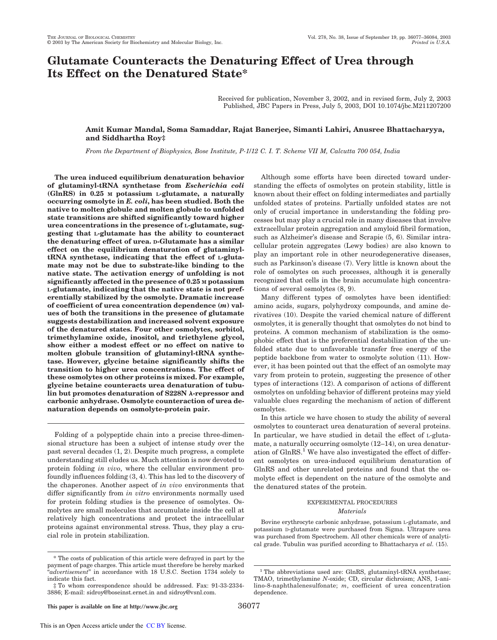## **Glutamate Counteracts the Denaturing Effect of Urea through Its Effect on the Denatured State\***

Received for publication, November 3, 2002, and in revised form, July 2, 2003 Published, JBC Papers in Press, July 5, 2003, DOI 10.1074/jbc.M211207200

### **Amit Kumar Mandal, Soma Samaddar, Rajat Banerjee, Simanti Lahiri, Anusree Bhattacharyya, and Siddhartha Roy‡**

*From the Department of Biophysics, Bose Institute, P-1*/*12 C. I. T. Scheme VII M, Calcutta 700 054, India*

**The urea induced equilibrium denaturation behavior of glutaminyl-tRNA synthetase from** *Escherichia coli* **(GlnRS) in 0.25 M potassium L-glutamate, a naturally occurring osmolyte in** *E. coli***, has been studied. Both the native to molten globule and molten globule to unfolded state transitions are shifted significantly toward higher urea concentrations in the presence of L-glutamate, suggesting that L-glutamate has the ability to counteract the denaturing effect of urea. D-Glutamate has a similar effect on the equilibrium denaturation of glutaminyltRNA synthetase, indicating that the effect of L-glutamate may not be due to substrate-like binding to the native state. The activation energy of unfolding is not significantly affected in the presence of 0.25 M potassium L-glutamate, indicating that the native state is not preferentially stabilized by the osmolyte. Dramatic increase of coefficient of urea concentration dependence (***m***) values of both the transitions in the presence of glutamate suggests destabilization and increased solvent exposure of the denatured states. Four other osmolytes, sorbitol, trimethylamine oxide, inositol, and triethylene glycol, show either a modest effect or no effect on native to molten globule transition of glutaminyl-tRNA synthetase. However, glycine betaine significantly shifts the transition to higher urea concentrations. The effect of these osmolytes on other proteins is mixed. For example, glycine betaine counteracts urea denaturation of tubu**lin but promotes denaturation of S228N  $\lambda$ -repressor and **carbonic anhydrase. Osmolyte counteraction of urea denaturation depends on osmolyte-protein pair.**

Folding of a polypeptide chain into a precise three-dimensional structure has been a subject of intense study over the past several decades (1, 2). Despite much progress, a complete understanding still eludes us. Much attention is now devoted to protein folding *in vivo*, where the cellular environment profoundly influences folding (3, 4). This has led to the discovery of the chaperones. Another aspect of *in vivo* environments that differ significantly from *in vitro* environments normally used for protein folding studies is the presence of osmolytes. Osmolytes are small molecules that accumulate inside the cell at relatively high concentrations and protect the intracellular proteins against environmental stress. Thus, they play a crucial role in protein stabilization.

Although some efforts have been directed toward understanding the effects of osmolytes on protein stability, little is known about their effect on folding intermediates and partially unfolded states of proteins. Partially unfolded states are not only of crucial importance in understanding the folding processes but may play a crucial role in many diseases that involve extracellular protein aggregation and amyloid fibril formation, such as Alzheimer's disease and Scrapie (5, 6). Similar intracellular protein aggregates (Lewy bodies) are also known to play an important role in other neurodegenerative diseases, such as Parkinson's disease (7). Very little is known about the role of osmolytes on such processes, although it is generally recognized that cells in the brain accumulate high concentrations of several osmolytes (8, 9).

Many different types of osmolytes have been identified: amino acids, sugars, polyhydroxy compounds, and amine derivatives (10). Despite the varied chemical nature of different osmolytes, it is generally thought that osmolytes do not bind to proteins. A common mechanism of stabilization is the osmophobic effect that is the preferential destabilization of the unfolded state due to unfavorable transfer free energy of the peptide backbone from water to osmolyte solution (11). However, it has been pointed out that the effect of an osmolyte may vary from protein to protein, suggesting the presence of other types of interactions (12). A comparison of actions of different osmolytes on unfolding behavior of different proteins may yield valuable clues regarding the mechanism of action of different osmolytes.

In this article we have chosen to study the ability of several osmolytes to counteract urea denaturation of several proteins. In particular, we have studied in detail the effect of L-glutamate, a naturally occurring osmolyte (12–14), on urea denaturation of  $GlnRS<sup>1</sup>$ . We have also investigated the effect of different osmolytes on urea-induced equilibrium denaturation of GlnRS and other unrelated proteins and found that the osmolyte effect is dependent on the nature of the osmolyte and the denatured states of the protein.

### EXPERIMENTAL PROCEDURES *Materials*

Bovine erythrocyte carbonic anhydrase, potassium L-glutamate, and potassium D-glutamate were purchased from Sigma. Ultrapure urea was purchased from Spectrochem. All other chemicals were of analytical grade. Tubulin was purified according to Bhattacharya *et al.* (15).

<sup>\*</sup> The costs of publication of this article were defrayed in part by the payment of page charges. This article must therefore be hereby marked "*advertisement*" in accordance with 18 U.S.C. Section 1734 solely to indicate this fact.

<sup>‡</sup> To whom correspondence should be addressed. Fax: 91-33-2334- 3886; E-mail: sidroy@boseinst.ernet.in and sidroy@vsnl.com.

 $1$ <sup>1</sup> The abbreviations used are: GlnRS, glutaminyl-tRNA synthetase; TMAO, trimethylamine *N*-oxide; CD, circular dichroism; ANS, 1-anilino-8-naphthalenesulfonate; *m*, coefficient of urea concentration dependence.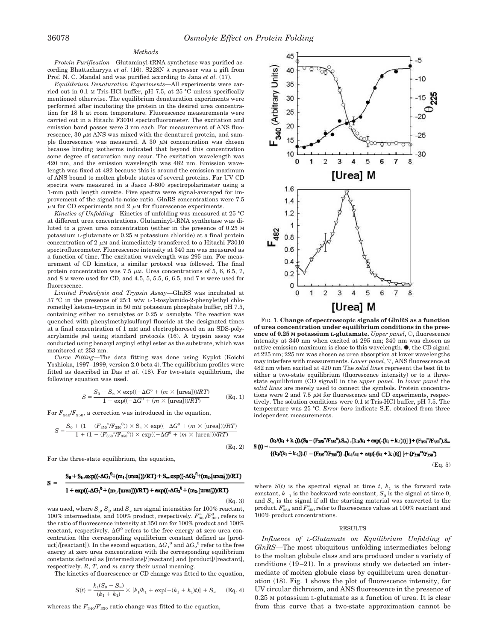#### *Methods*

*Protein Purification—*Glutaminyl-tRNA synthetase was purified according Bhattacharyya *et al.* (16). S228N  $\lambda$  repressor was a gift from Prof. N. C. Mandal and was purified according to Jana *et al.* (17).

*Equilibrium Denaturation Experiments—*All experiments were carried out in 0.1 M Tris-HCl buffer, pH 7.5, at 25 °C unless specifically mentioned otherwise. The equilibrium denaturation experiments were performed after incubating the protein in the desired urea concentration for 18 h at room temperature. Fluorescence measurements were carried out in a Hitachi F3010 spectrofluorometer. The excitation and emission band passes were 3 nm each. For measurement of ANS fluorescence,  $30 \mu M$  ANS was mixed with the denatured protein, and sample fluorescence was measured. A 30  $\mu$ M concentration was chosen because binding isotherms indicated that beyond this concentration some degree of saturation may occur. The excitation wavelength was 420 nm, and the emission wavelength was 482 nm. Emission wavelength was fixed at 482 because this is around the emission maximum of ANS bound to molten globule states of several proteins. Far UV CD spectra were measured in a Jasco J-600 spectropolarimeter using a 1-mm path length cuvette. Five spectra were signal-averaged for improvement of the signal-to-noise ratio. GlnRS concentrations were 7.5  $\mu$ M for CD experiments and 2  $\mu$ M for fluorescence experiments.

*Kinetics of Unfolding—*Kinetics of unfolding was measured at 25 °C at different urea concentrations. Glutaminyl-tRNA synthetase was diluted to a given urea concentration (either in the presence of 0.25 M potassium L-glutamate or 0.25 M potassium chloride) at a final protein concentration of 2  $\mu$ M and immediately transferred to a Hitachi F3010 spectrofluorometer. Fluorescence intensity at 340 nm was measured as a function of time. The excitation wavelength was 295 nm. For measurement of CD kinetics, a similar protocol was followed. The final protein concentration was 7.5  $\mu$ M. Urea concentrations of 5, 6, 6.5, 7, and 8 M were used for CD, and 4.5, 5, 5.5, 6, 6.5, and 7 M were used for fluorescence.

*Limited Proteolysis and Trypsin Assay—*GlnRS was incubated at 37 °C in the presence of 25:1 w/w L-1-tosylamido-2-phenylethyl chloromethyl ketone-trypsin in 50 mM potassium phosphate buffer, pH 7.5, containing either no osmolytes or 0.25 M osmolyte. The reaction was quenched with phenylmethylsulfonyl fluoride at the designated times at a final concentration of 1 mM and electrophoresed on an SDS-polyacrylamide gel using standard protocols (16). A trypsin assay was conducted using benzoyl arginyl ethyl ester as the substrate, which was monitored at 253 nm.

*Curve Fitting—*The data fitting was done using Kyplot (Koichi Yoshioka, 1997–1999, version 2.0 beta 4). The equilibrium profiles were fitted as described in Das *et al.* (18). For two-state equilibrium, the following equation was used.

$$
S = \frac{S_0 + S_\infty \times \exp((-\Delta G^0 + (m \times \text{[urea]}))/RT)}{1 + \exp((-\Delta G^0 + (m \times \text{[urea]}))/RT)}
$$
(Eq. 1)

For  $F_{340}/F_{350}$ , a correction was introduced in the equation,

$$
S = \frac{S_0 + (1 - (F_{350}^{\circ}/F_{350}^{\circ})) \times S_{\infty} \times \exp((-\Delta G^0 + (m \times [\text{urea}]))/RT)}{1 + (1 - (F_{350}^{\circ}/F_{350}^{\circ})) \times \exp((-\Delta G^0 + (m \times [\text{urea}]))/RT)}
$$
(Eq. 2)

For the three-state equilibrium, the equation,

#### $S_0 + S_1$ .exp((- $\Delta G_1^0 + (m_1$ .[urea]))/RT) + S<sub>ss</sub>.exp((- $\Delta G_2^0 + (m_2$ .[urea]))/RT)  $\mathbf{R} =$  $1 + \exp((-\Delta G_1^B + (m_1.\text{[urea]}))/RT) + \exp((-\Delta G_2^B + (m_2.\text{[urea]}))/RT)$

(Eq. 3)

was used, where  $S_0, S_{\text{I}},$  and  $S_{\infty}$  are signal intensities for 100% reactant, 100% intermediate, and 100% product, respectively.  $F_{350}^{\circ}/F_{350}^0$  refers to the ratio of fluorescence intensity at 350 nm for 100% product and 100% reactant, respectively.  $\Delta G^0$  refers to the free energy at zero urea concentration (the corresponding equilibrium constant defined as [product]/[reactant]). In the second equation,  $\Delta G_1^0$  and  $\Delta G_2^0$  refer to the free energy at zero urea concentration with the corresponding equilibrium constants defined as [intermediate]/[reactant] and [product]/[reactant], respectively. *R*, *T*, and *m* carry their usual meaning.

The kinetics of fluorescence or CD change was fitted to the equation,

$$
S(t) = \frac{k_1(S_0 - S_x)}{(k_1 + k_1)} \times [k_1/k_1 + \exp(-(k_1 + k_1)t)] + S_x \quad (Eq. 4)
$$

whereas the  $F_{340}/F_{350}$  ratio change was fitted to the equation,



FIG. 1. **Change of spectroscopic signals of GlnRS as a function of urea concentration under equilibrium conditions in the presence of 0.25 M potassium L-glutamate.** *Upper panel*,  $\bigcirc$ , fluorescence intensity at 340 nm when excited at 295 nm; 340 nm was chosen as native emission maximum is close to this wavelength. ●, the CD signal at 225 nm; 225 nm was chosen as urea absorption at lower wavelengths may interfere with measurements. *Lower panel*,  $\nabla$ , ANS fluorescence at 482 nm when excited at 420 nm The *solid lines* represent the best fit to either a two-state equilibrium (fluorescence intensity) or to a threestate equilibrium (CD signal) in the *upper panel*. In *lower panel* the *solid lines* are merely used to connect the symbols. Protein concentrations were 2 and 7.5  $\mu$ M for fluorescence and CD experiments, respectively. The solution conditions were 0.1 M Tris-HCl buffer, pH 7.5. The temperature was 25 °C. *Error bars* indicate S.E. obtained from three independent measurements.

# $\underbrace{(k_1/(k_1+k_1)) . (S_0-(F_{350}''/F_{350}^0). S_{\infty}) . [k_1/k_1 + \exp(-(k_1+k_1)t)] \} + (F_{350}''/F_{350}^0). S_{\infty}$  $\{(k_1/(k_1+k_1)),(1-(F_{350}^{\circ\circ}/F_{350}^{\circ\circ}))$  .  $[k_1/k_1 + \exp(-(k_1+k_1)t)]$   $\} + (F_{350}^{\circ\circ}/F_{350}^{\circ\circ})$

(Eq. 5)

where  $S(t)$  is the spectral signal at time  $t$ ,  $k<sub>1</sub>$  is the forward rate  $\text{constant}, k_{-1}$  is the backward rate constant,  $S_0$  is the signal at time 0, and  $S<sub>\infty</sub>$  is the signal if all the starting material was converted to the product.  $F_{350}^{\rm o}$  and  $F_{350}^{\rm \infty}$  refer to fluorescence values at 100% reactant and 100% product concentrations.

#### RESULTS

*Influence of L-Glutamate on Equilibrium Unfolding of GlnRS—*The most ubiquitous unfolding intermediates belong to the molten globule class and are produced under a variety of conditions (19–21). In a previous study we detected an intermediate of molten globule class by equilibrium urea denaturation (18). Fig. 1 shows the plot of fluorescence intensity, far UV circular dichroism, and ANS fluorescence in the presence of 0.25 M potassium L-glutamate as a function of urea. It is clear from this curve that a two-state approximation cannot be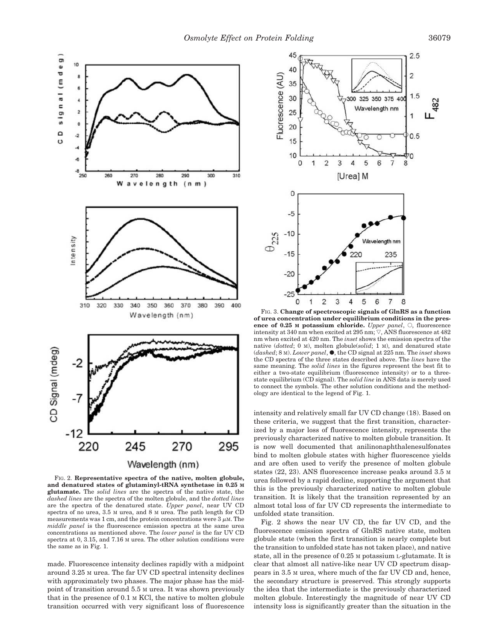

FIG. 2. **Representative spectra of the native, molten globule, and denatured states of glutaminyl-tRNA synthetase in 0.25 M glutamate.** The *solid lines* are the spectra of the native state, the *dashed lines* are the spectra of the molten globule, and the *dotted lines* are the spectra of the denatured state. *Upper panel*, near UV CD spectra of no urea, 3.5 M urea, and 8 M urea. The path length for CD measurements was 1 cm, and the protein concentrations were  $3 \mu$ M. The *middle panel* is the fluorescence emission spectra at the same urea concentrations as mentioned above. The *lower panel* is the far UV CD spectra at 0, 3.15, and 7.16 M urea. The other solution conditions were the same as in Fig. 1.

made. Fluorescence intensity declines rapidly with a midpoint around 3.25 M urea. The far UV CD spectral intensity declines with approximately two phases. The major phase has the midpoint of transition around 5.5 M urea. It was shown previously that in the presence of 0.1 M KCl, the native to molten globule transition occurred with very significant loss of fluorescence



FIG. 3. **Change of spectroscopic signals of GlnRS as a function of urea concentration under equilibrium conditions in the presence of 0.25 M potassium chloride.** *Upper panel*,  $\bigcirc$ , fluorescence intensity at 340 nm when excited at 295 nm;  $\nabla$ , ANS fluorescence at 482 nm when excited at 420 nm. The *inset* shows the emission spectra of the native (*dotted*; 0 M), molten globule(*solid*; 1 M), and denatured state (*dashed*; 8 <sup>M</sup>). *Lower panel*, ●, the CD signal at 225 nm. The *inset* shows the CD spectra of the three states described above. The *lines* have the same meaning. The *solid lines* in the figures represent the best fit to either a two-state equilibrium (fluorescence intensity) or to a threestate equilibrium (CD signal). The *solid line* in ANS data is merely used to connect the symbols. The other solution conditions and the methodology are identical to the legend of Fig. 1.

intensity and relatively small far UV CD change (18). Based on these criteria, we suggest that the first transition, characterized by a major loss of fluorescence intensity, represents the previously characterized native to molten globule transition. It is now well documented that anilinonaphthalenesulfonates bind to molten globule states with higher fluorescence yields and are often used to verify the presence of molten globule states (22, 23). ANS fluorescence increase peaks around 3.5 M urea followed by a rapid decline, supporting the argument that this is the previously characterized native to molten globule transition. It is likely that the transition represented by an almost total loss of far UV CD represents the intermediate to unfolded state transition.

Fig. 2 shows the near UV CD, the far UV CD, and the fluorescence emission spectra of GlnRS native state, molten globule state (when the first transition is nearly complete but the transition to unfolded state has not taken place), and native state, all in the presence of 0.25 M potassium L-glutamate. It is clear that almost all native-like near UV CD spectrum disappears in 3.5 M urea, where much of the far UV CD and, hence, the secondary structure is preserved. This strongly supports the idea that the intermediate is the previously characterized molten globule. Interestingly the magnitude of near UV CD intensity loss is significantly greater than the situation in the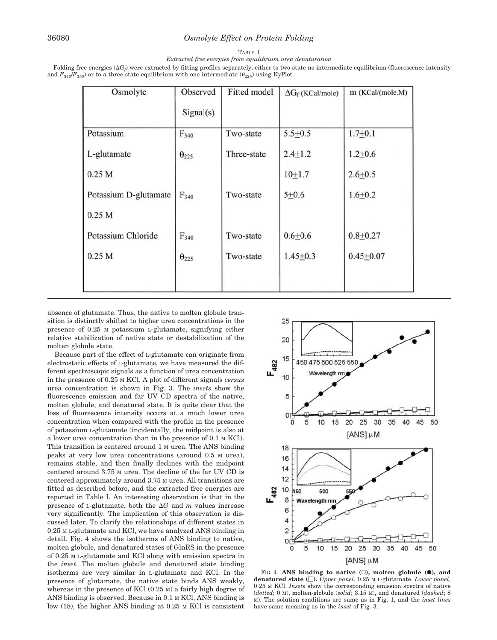#### 36080 *Osmolyte Effect on Protein Folding*

TABLE I

*Extracted free energies from equilibrium urea denaturation*

Folding free energies ( $\Delta G_{\rho}$ ) were extracted by fitting profiles separately, either to two-state no intermediate equilibrium (fluorescence intensity and  $F_{340}/F_{350}$ ) or to a three-state equilibrium with one intermediate ( $\theta_{225}$ ) using KyPlot.

| Osmolyte              | Observed<br>Signal(s) | Fitted model | $\Delta G_f$ (KCal/mole) | m (KCal/(mole.M) |
|-----------------------|-----------------------|--------------|--------------------------|------------------|
| Potassium             | $F_{340}$             | Two-state    | $5.5 + 0.5$              | $1.7 + 0.1$      |
| L-glutamate           | $\theta_{225}$        | Three-state  | $2.4 + 1.2$              | $1.2 + 0.6$      |
| 0.25 <sub>M</sub>     |                       |              | $10 + 1.7$               | $2.6 + 0.5$      |
| Potassium D-glutamate | $F_{340}$             | Two-state    | $5 + 0.6$                | $1.6 + 0.2$      |
| 0.25 <sub>M</sub>     |                       |              |                          |                  |
| Potassium Chloride    | $F_{340}$             | Two-state    | $0.6 + 0.6$              | $0.8 + 0.27$     |
| 0.25 <sub>M</sub>     | $\theta_{225}$        | Two-state    | $1.45 + 0.3$             | $0.45 + 0.07$    |
|                       |                       |              |                          |                  |

absence of glutamate. Thus, the native to molten globule transition is distinctly shifted to higher urea concentrations in the presence of 0.25 M potassium L-glutamate, signifying either relative stabilization of native state or destabilization of the molten globule state.

Because part of the effect of L-glutamate can originate from electrostatic effects of L-glutamate, we have measured the different spectroscopic signals as a function of urea concentration in the presence of 0.25 M KCl. A plot of different signals *versus* urea concentration is shown in Fig. 3. The *insets* show the fluorescence emission and far UV CD spectra of the native, molten globule, and denatured state. It is quite clear that the loss of fluorescence intensity occurs at a much lower urea concentration when compared with the profile in the presence of potassium L-glutamate (incidentally, the midpoint is also at a lower urea concentration than in the presence of 0.1 M KCl). This transition is centered around 1 M urea. The ANS binding peaks at very low urea concentrations (around 0.5 M urea), remains stable, and then finally declines with the midpoint centered around 3.75 M urea. The decline of the far UV CD is centered approximately around 3.75 M urea. All transitions are fitted as described before, and the extracted free energies are reported in Table I. An interesting observation is that in the presence of L-glutamate, both the  $\Delta G$  and *m* values increase very significantly. The implication of this observation is discussed later. To clarify the relationships of different states in 0.25 M L-glutamate and KCl, we have analyzed ANS binding in detail. Fig. 4 shows the isotherms of ANS binding to native, molten globule, and denatured states of GlnRS in the presence of 0.25 M L-glutamate and KCl along with emission spectra in the *inset*. The molten globule and denatured state binding isotherms are very similar in L-glutamate and KCl. In the presence of glutamate, the native state binds ANS weakly, whereas in the presence of KCl (0.25 M) a fairly high degree of ANS binding is observed. Because in 0.1 M KCl, ANS binding is low (18), the higher ANS binding at 0.25 M KCl is consistent



FIG. 4. ANS binding to native (O), molten globule ( $\bullet$ ), and **denatured state ().** *Upper panel*, 0.25 M L-glutamate. *Lower panel*, 0.25 M KCl. *Insets* show the corresponding emission spectra of native (*dotted*; 0 M), molten-globule (*solid*; 3.15 M), and denatured (*dashed*; 8 M). The solution conditions are same as in Fig. 1, and the *inset lines* have same meaning as in the *inset* of Fig. 3.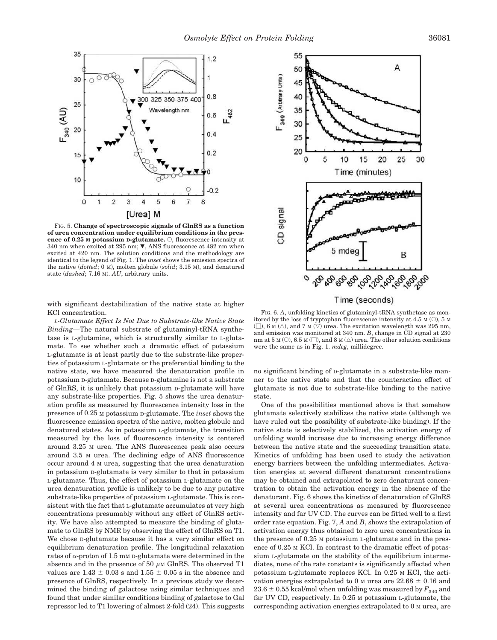

FIG. 5. **Change of spectroscopic signals of GlnRS as a function of urea concentration under equilibrium conditions in the presence of 0.25** M **potassium D-glutamate.**  $\circ$ , fluorescence intensity at 340 nm when excited at 295 nm;  $\nabla$ , ANS fluorescence at 482 nm when excited at 420 nm. The solution conditions and the methodology are identical to the legend of Fig. 1. The *inset* shows the emission spectra of the native (*dotted*; 0 M), molten globule (*solid*; 3.15 M), and denatured state (*dashed*; 7.16 M). *AU*, arbitrary units.

with significant destabilization of the native state at higher KCl concentration.

*L-Glutamate Effect Is Not Due to Substrate-like Native State Binding—*The natural substrate of glutaminyl-tRNA synthetase is L-glutamine, which is structurally similar to L-glutamate. To see whether such a dramatic effect of potassium L-glutamate is at least partly due to the substrate-like properties of potassium L-glutamate or the preferential binding to the native state, we have measured the denaturation profile in potassium D-glutamate. Because D-glutamine is not a substrate of GlnRS, it is unlikely that potassium D-glutamate will have any substrate-like properties. Fig. 5 shows the urea denaturation profile as measured by fluorescence intensity loss in the presence of 0.25 M potassium D-glutamate. The *inset* shows the fluorescence emission spectra of the native, molten globule and denatured states. As in potassium L-glutamate, the transition measured by the loss of fluorescence intensity is centered around 3.25 M urea. The ANS fluorescence peak also occurs around 3.5 M urea. The declining edge of ANS fluorescence occur around 4 M urea, suggesting that the urea denaturation in potassium D-glutamate is very similar to that in potassium L-glutamate. Thus, the effect of potassium L-glutamate on the urea denaturation profile is unlikely to be due to any putative substrate-like properties of potassium L-glutamate. This is consistent with the fact that L-glutamate accumulates at very high concentrations presumably without any effect of GlnRS activity. We have also attempted to measure the binding of glutamate to GlnRS by NMR by observing the effect of GlnRS on T1. We chose *D*-glutamate because it has a very similar effect on equilibrium denaturation profile. The longitudinal relaxation rates of  $\alpha$ -proton of 1.5 mm D-glutamate were determined in the absence and in the presence of 50  $\mu$ m GlnRS. The observed T1 values are  $1.43 \pm 0.03$  s and  $1.55 \pm 0.05$  s in the absence and presence of GlnRS, respectively. In a previous study we determined the binding of galactose using similar techniques and found that under similar conditions binding of galactose to Gal repressor led to T1 lowering of almost 2-fold (24). This suggests



FIG. 6. *A*, unfolding kinetics of glutaminyl-tRNA synthetase as monitored by the loss of tryptophan fluorescence intensity at 4.5  $\text{M}$  (O), 5 M  $(\Box)$ , 6 M  $(\triangle)$ , and 7 M  $(\triangledown)$  urea. The excitation wavelength was 295 nm, and emission was monitored at 340 nm. *B*, change in CD signal at 230 nm at 5 M (O), 6.5 M ( $\square$ ), and 8 M ( $\triangle$ ) urea. The other solution conditions were the same as in Fig. 1. *mdeg*, millidegree.

no significant binding of D-glutamate in a substrate-like manner to the native state and that the counteraction effect of glutamate is not due to substrate-like binding to the native state.

One of the possibilities mentioned above is that somehow glutamate selectively stabilizes the native state (although we have ruled out the possibility of substrate-like binding). If the native state is selectively stabilized, the activation energy of unfolding would increase due to increasing energy difference between the native state and the succeeding transition state. Kinetics of unfolding has been used to study the activation energy barriers between the unfolding intermediates. Activation energies at several different denaturant concentrations may be obtained and extrapolated to zero denaturant concentration to obtain the activation energy in the absence of the denaturant. Fig. 6 shows the kinetics of denaturation of GlnRS at several urea concentrations as measured by fluorescence intensity and far UV CD. The curves can be fitted well to a first order rate equation. Fig. 7, *A* and *B*, shows the extrapolation of activation energy thus obtained to zero urea concentrations in the presence of 0.25 M potassium L-glutamate and in the presence of 0.25 M KCl. In contrast to the dramatic effect of potassium L-glutamate on the stability of the equilibrium intermediates, none of the rate constants is significantly affected when potassium L-glutamate replaces KCl. In 0.25 M KCl, the activation energies extrapolated to 0  $\mu$  urea are 22.68  $\pm$  0.16 and  $23.6 \pm 0.55$  kcal/mol when unfolding was measured by  $F_{340}$  and far UV CD, respectively. In 0.25 M potassium L-glutamate, the corresponding activation energies extrapolated to 0 M urea, are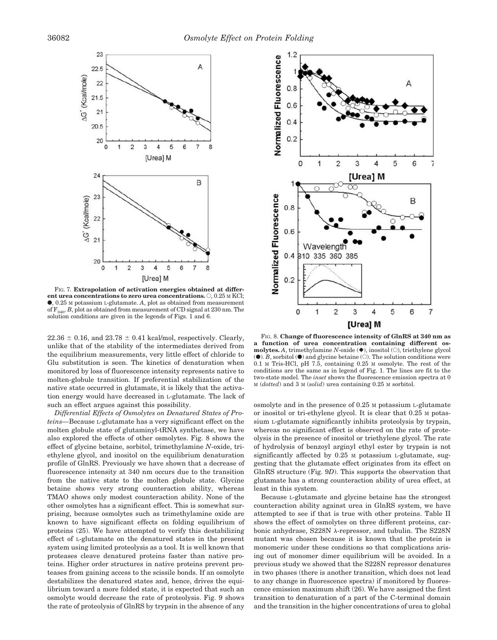

FIG. 7. **Extrapolation of activation energies obtained at differ**ent urea concentrations to zero urea concentrations.  $\bigcirc$ , 0.25 M KCl; ●, 0.25 <sup>M</sup> potassium <sup>L</sup>-glutamate. *A*, plot as obtained from measurement of  $F_{340}$ . *B*, plot as obtained from measurement of CD signal at 230 nm. The solution conditions are given in the legends of Figs. 1 and 6.

 $22.36 \pm 0.16$ , and  $23.78 \pm 0.41$  kcal/mol, respectively. Clearly, unlike that of the stability of the intermediates derived from the equilibrium measurements, very little effect of chloride to Glu substitution is seen. The kinetics of denaturation when monitored by loss of fluorescence intensity represents native to molten-globule transition. If preferential stabilization of the native state occurred in glutamate, it is likely that the activation energy would have decreased in L-glutamate. The lack of such an effect argues against this possibility.

*Differential Effects of Osmolytes on Denatured States of Proteins—*Because L-glutamate has a very significant effect on the molten globule state of glutaminyl-tRNA synthetase, we have also explored the effects of other osmolytes. Fig. 8 shows the effect of glycine betaine, sorbitol, trimethylamine *N*-oxide, triethylene glycol, and inositol on the equilibrium denaturation profile of GlnRS. Previously we have shown that a decrease of fluorescence intensity at 340 nm occurs due to the transition from the native state to the molten globule state. Glycine betaine shows very strong counteraction ability, whereas TMAO shows only modest counteraction ability. None of the other osmolytes has a significant effect. This is somewhat surprising, because osmolytes such as trimethylamine oxide are known to have significant effects on folding equilibrium of proteins (25). We have attempted to verify this destabilizing effect of L-glutamate on the denatured states in the present system using limited proteolysis as a tool. It is well known that proteases cleave denatured proteins faster than native proteins. Higher order structures in native proteins prevent proteases from gaining access to the scissile bonds. If an osmolyte destabilizes the denatured states and, hence, drives the equilibrium toward a more folded state, it is expected that such an osmolyte would decrease the rate of proteolysis. Fig. 9 shows the rate of proteolysis of GlnRS by trypsin in the absence of any



FIG. 8. **Change of fluorescence intensity of GlnRS at 340 nm as a function of urea concentration containing different osmolytes.** *A*, trimethylamine *N*-oxide  $(\diamond)$ , inositol  $(\circ)$ , triethylene glycol  $(①)$ . *B*, sorbitol  $(④)$  and glycine betaine  $(①)$ . The solution conditions were 0.1 M Tris-HCl, pH 7.5, containing 0.25 M osmolyte. The rest of the conditions are the same as in legend of Fig. 1. The lines are fit to the two-state model. The *inset* shows the fluorescence emission spectra at 0 M (*dotted*) and 3 M (*solid*) urea containing 0.25 M sorbitol.

osmolyte and in the presence of 0.25 M potassium L-glutamate or inositol or tri-ethylene glycol. It is clear that 0.25 M potassium L-glutamate significantly inhibits proteolysis by trypsin, whereas no significant effect is observed on the rate of proteolysis in the presence of inositol or triethylene glycol. The rate of hydrolysis of benzoyl arginyl ethyl ester by trypsin is not significantly affected by 0.25 M potassium L-glutamate, suggesting that the glutamate effect originates from its effect on GlnRS structure (Fig. 9*D*). This supports the observation that glutamate has a strong counteraction ability of urea effect, at least in this system.

Because L-glutamate and glycine betaine has the strongest counteraction ability against urea in GlnRS system, we have attempted to see if that is true with other proteins. Table II shows the effect of osmolytes on three different proteins, carbonic anhydrase, S228N  $\lambda$ -repressor, and tubulin. The S228N mutant was chosen because it is known that the protein is monomeric under these conditions so that complications arising out of monomer dimer equilibrium will be avoided. In a previous study we showed that the S228N repressor denatures in two phases (there is another transition, which does not lead to any change in fluorescence spectra) if monitored by fluorescence emission maximum shift (26). We have assigned the first transition to denaturation of a part of the C-terminal domain and the transition in the higher concentrations of urea to global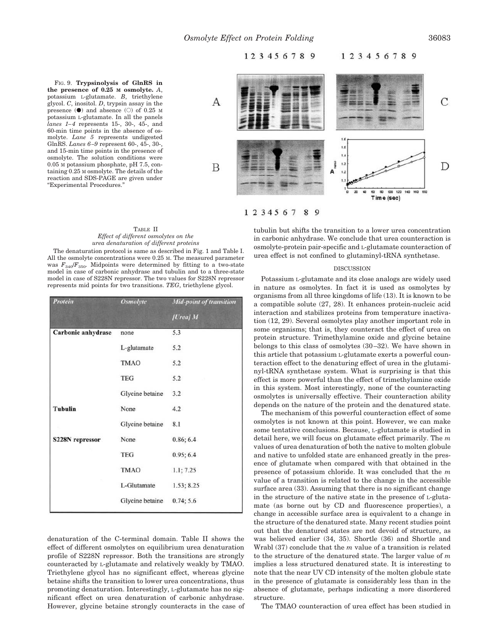123456789

123456789



123456789

#### TABLE II *Effect of different osmolytes on the urea denaturation of different proteins*

FIG. 9. **Trypsinolysis of GlnRS in the presence of 0.25 M osmolyte.** *A*, potassium L-glutamate. *B*, triethylene glycol. *C*, inositol. *D*, trypsin assay in the presence  $\left( \bullet \right)$  and absence  $\left( \circ \right)$  of 0.25 M potassium L-glutamate. In all the panels *lanes 1–4* represents 15-, 30-, 45-, and 60-min time points in the absence of osmolyte. *Lane 5* represents undigested GlnRS. *Lanes 6–9* represent 60-, 45-, 30-, and 15-min time points in the presence of osmolyte. The solution conditions were 0.05 M potassium phosphate, pH 7.5, containing 0.25 M osmolyte. The details of the reaction and SDS-PAGE are given under

"Experimental Procedures."

The denaturation protocol is same as described in Fig. 1 and Table I. All the osmolyte concentrations were 0.25 M. The measured parameter was  $F_{340}/F_{350}$ . Midpoints were determined by fitting to a two-state model in case of carbonic anhydrase and tubulin and to a three-state model in case of S228N repressor. The two values for S228N repressor represents mid points for two transitions. *TEG*, triethylene glycol.

| Protein            | <b>Osmolyte</b> | <b>Mid-point of transition</b> |  |
|--------------------|-----------------|--------------------------------|--|
|                    |                 | [Urea] M                       |  |
| Carbonic anhydrase | none            | 5.3                            |  |
|                    | L-glutamate     | 5.2                            |  |
|                    | <b>TMAO</b>     | 5.2                            |  |
|                    | <b>TEG</b>      | 5.2                            |  |
|                    | Glycine betaine | 3.2                            |  |
| <b>Tubulin</b>     | None            | 4.2                            |  |
|                    | Glycine betaine | 8.1                            |  |
| S228N repressor    | None            | 0.86; 6.4                      |  |
|                    | <b>TEG</b>      | 0.95; 6.4                      |  |
|                    | <b>TMAO</b>     | 1.1; 7.25                      |  |
|                    | L-Glutamate     | 1.53; 8.25                     |  |
|                    | Glycine betaine | 0.74; 5.6                      |  |

denaturation of the C-terminal domain. Table II shows the effect of different osmolytes on equilibrium urea denaturation profile of S228N repressor. Both the transitions are strongly counteracted by L-glutamate and relatively weakly by TMAO. Triethylene glycol has no significant effect, whereas glycine betaine shifts the transition to lower urea concentrations, thus promoting denaturation. Interestingly, L-glutamate has no significant effect on urea denaturation of carbonic anhydrase. However, glycine betaine strongly counteracts in the case of tubulin but shifts the transition to a lower urea concentration in carbonic anhydrase. We conclude that urea counteraction is osmolyte-protein pair-specific and L-glutamate counteraction of urea effect is not confined to glutaminyl-tRNA synthetase.

#### DISCUSSION

Potassium L-glutamate and its close analogs are widely used in nature as osmolytes. In fact it is used as osmolytes by organisms from all three kingdoms of life (13). It is known to be a compatible solute (27, 28). It enhances protein-nucleic acid interaction and stabilizes proteins from temperature inactivation (12, 29). Several osmolytes play another important role in some organisms; that is, they counteract the effect of urea on protein structure. Trimethylamine oxide and glycine betaine belongs to this class of osmolytes (30–32). We have shown in this article that potassium L-glutamate exerts a powerful counteraction effect to the denaturing effect of urea in the glutaminyl-tRNA synthetase system. What is surprising is that this effect is more powerful than the effect of trimethylamine oxide in this system. Most interestingly, none of the counteracting osmolytes is universally effective. Their counteraction ability depends on the nature of the protein and the denatured state.

The mechanism of this powerful counteraction effect of some osmolytes is not known at this point. However, we can make some tentative conclusions. Because, L-glutamate is studied in detail here, we will focus on glutamate effect primarily. The *m* values of urea denaturation of both the native to molten globule and native to unfolded state are enhanced greatly in the presence of glutamate when compared with that obtained in the presence of potassium chloride. It was concluded that the *m* value of a transition is related to the change in the accessible surface area (33). Assuming that there is no significant change in the structure of the native state in the presence of L-glutamate (as borne out by CD and fluorescence properties), a change in accessible surface area is equivalent to a change in the structure of the denatured state. Many recent studies point out that the denatured states are not devoid of structure, as was believed earlier (34, 35). Shortle (36) and Shortle and Wrabl (37) conclude that the *m* value of a transition is related to the structure of the denatured state. The larger value of *m* implies a less structured denatured state. It is interesting to note that the near UV CD intensity of the molten globule state in the presence of glutamate is considerably less than in the absence of glutamate, perhaps indicating a more disordered structure.

The TMAO counteraction of urea effect has been studied in